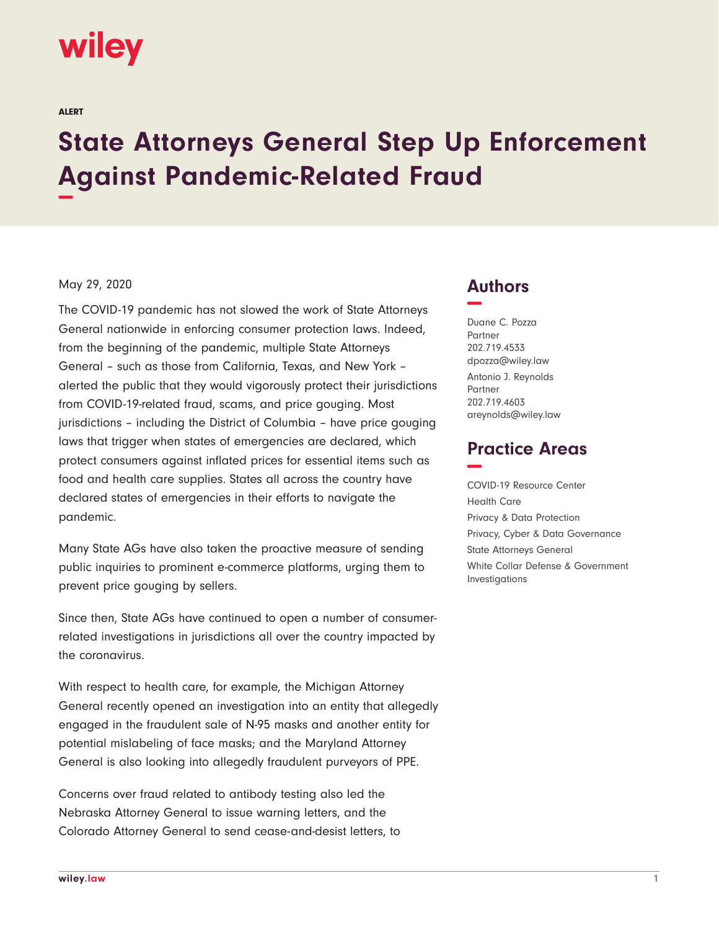# **wiley**

ALERT

# **State Attorneys General Step Up Enforcement Against Pandemic-Related Fraud −**

#### May 29, 2020

The COVID-19 pandemic has not slowed the work of State Attorneys General nationwide in enforcing consumer protection laws. Indeed, from the beginning of the pandemic, multiple State Attorneys General – such as those from California, Texas, and New York – alerted the public that they would vigorously protect their jurisdictions from COVID-19-related fraud, scams, and price gouging. Most jurisdictions – including the District of Columbia – have price gouging laws that trigger when states of emergencies are declared, which protect consumers against inflated prices for essential items such as food and health care supplies. States all across the country have declared states of emergencies in their efforts to navigate the pandemic.

Many State AGs have also taken the proactive measure of sending public inquiries to prominent e-commerce platforms, urging them to prevent price gouging by sellers.

Since then, State AGs have continued to open a number of consumerrelated investigations in jurisdictions all over the country impacted by the coronavirus.

With respect to health care, for example, the Michigan Attorney General recently opened an investigation into an entity that allegedly engaged in the fraudulent sale of N-95 masks and another entity for potential mislabeling of face masks; and the Maryland Attorney General is also looking into allegedly fraudulent purveyors of PPE.

Concerns over fraud related to antibody testing also led the Nebraska Attorney General to issue warning letters, and the Colorado Attorney General to send cease-and-desist letters, to

## **Authors −**

Duane C. Pozza Partner 202.719.4533 dpozza@wiley.law Antonio J. Reynolds **Partner** 202.719.4603 areynolds@wiley.law

## **Practice Areas −**

COVID-19 Resource Center Health Care Privacy & Data Protection Privacy, Cyber & Data Governance State Attorneys General White Collar Defense & Government Investigations